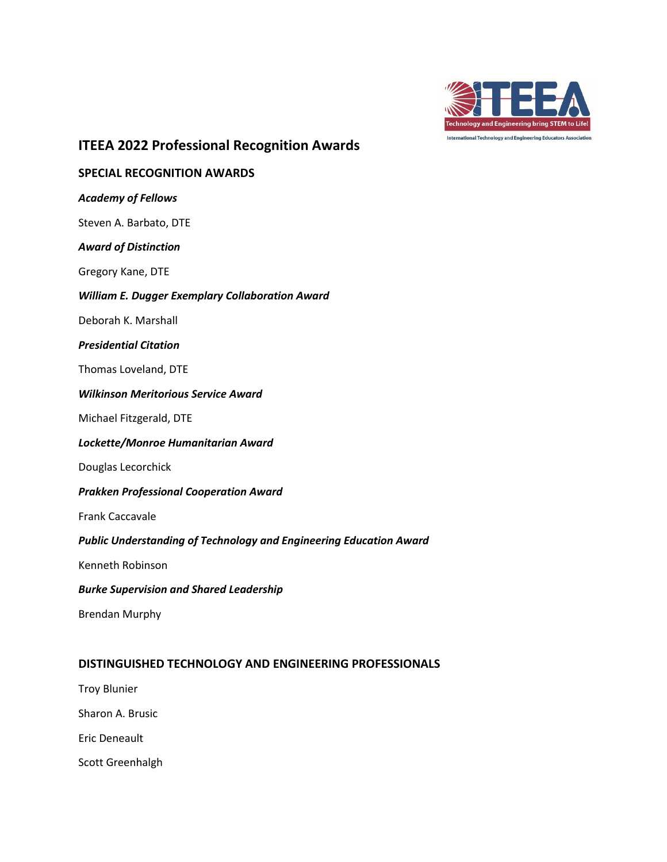

# **ITEEA 2022 Professional Recognition Awards**

# **SPECIAL RECOGNITION AWARDS** *Academy of Fellows* Steven A. Barbato, DTE *Award of Distinction* Gregory Kane, DTE *William E. Dugger Exemplary Collaboration Award*  Deborah K. Marshall *Presidential Citation* Thomas Loveland, DTE *Wilkinson Meritorious Service Award* Michael Fitzgerald, DTE *Lockette/Monroe Humanitarian Award* Douglas Lecorchick *Prakken Professional Cooperation Award* Frank Caccavale *Public Understanding of Technology and Engineering Education Award* Kenneth Robinson *Burke Supervision and Shared Leadership* Brendan Murphy **DISTINGUISHED TECHNOLOGY AND ENGINEERING PROFESSIONALS** Troy Blunier

Sharon A. Brusic

Eric Deneault

Scott Greenhalgh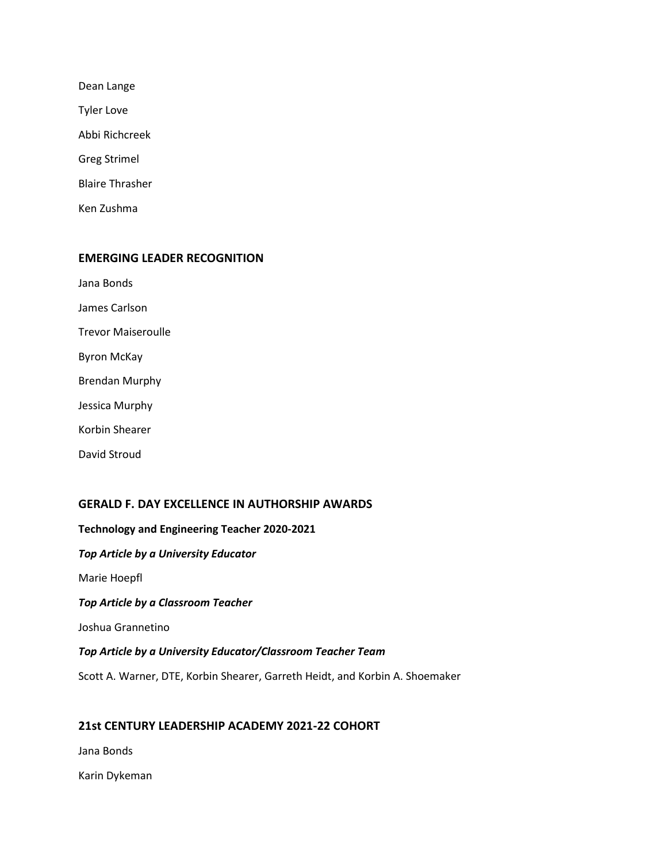| Dean Lange             |  |  |
|------------------------|--|--|
| <b>Tyler Love</b>      |  |  |
| Abbi Richcreek         |  |  |
| <b>Greg Strimel</b>    |  |  |
| <b>Blaire Thrasher</b> |  |  |
| Ken Zushma             |  |  |

## **EMERGING LEADER RECOGNITION**

Jana Bonds

James Carlson

Trevor Maiseroulle

Byron McKay

Brendan Murphy

Jessica Murphy

Korbin Shearer

David Stroud

## **GERALD F. DAY EXCELLENCE IN AUTHORSHIP AWARDS**

**Technology and Engineering Teacher 2020-2021** *Top Article by a University Educator* Marie Hoepfl *Top Article by a Classroom Teacher* Joshua Grannetino *Top Article by a University Educator/Classroom Teacher Team* Scott A. Warner, DTE, Korbin Shearer, Garreth Heidt, and Korbin A. Shoemaker

## **21st CENTURY LEADERSHIP ACADEMY 2021-22 COHORT**

Jana Bonds

Karin Dykeman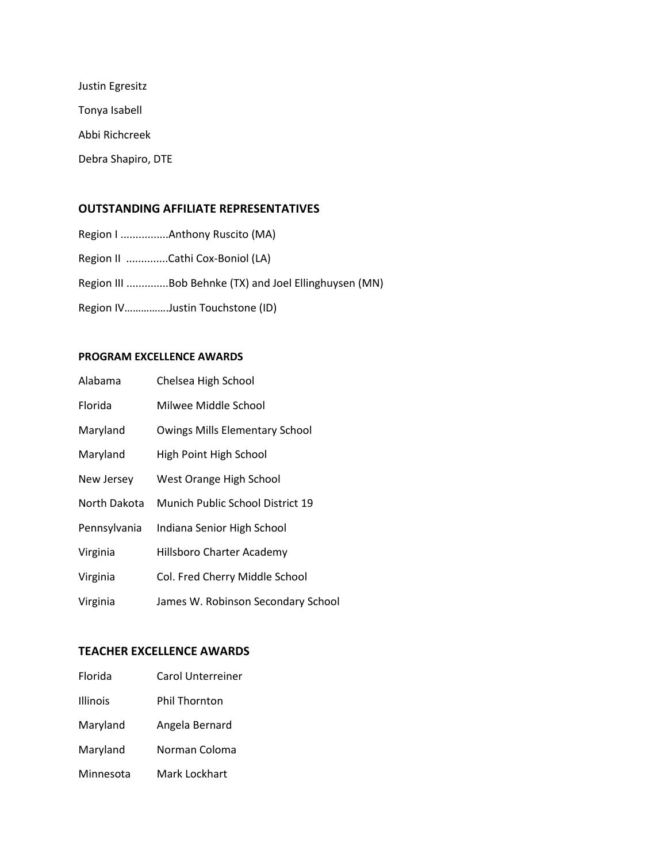Justin Egresitz Tonya Isabell Abbi Richcreek Debra Shapiro, DTE

## **OUTSTANDING AFFILIATE REPRESENTATIVES**

- Region I ................Anthony Ruscito (MA)
- Region II ..............Cathi Cox-Boniol (LA)
- Region III ..............Bob Behnke (TX) and Joel Ellinghuysen (MN)
- Region IV…………….Justin Touchstone (ID)

## **PROGRAM EXCELLENCE AWARDS**

| Alabama      | Chelsea High School                   |
|--------------|---------------------------------------|
| Florida      | Milwee Middle School                  |
| Maryland     | <b>Owings Mills Elementary School</b> |
| Maryland     | High Point High School                |
| New Jersey   | West Orange High School               |
| North Dakota | Munich Public School District 19      |
| Pennsylvania | Indiana Senior High School            |
| Virginia     | Hillsboro Charter Academy             |
| Virginia     | Col. Fred Cherry Middle School        |
| Virginia     | James W. Robinson Secondary School    |

#### **TEACHER EXCELLENCE AWARDS**

- Florida Carol Unterreiner
- Illinois Phil Thornton
- Maryland Angela Bernard
- Maryland Norman Coloma
- Minnesota Mark Lockhart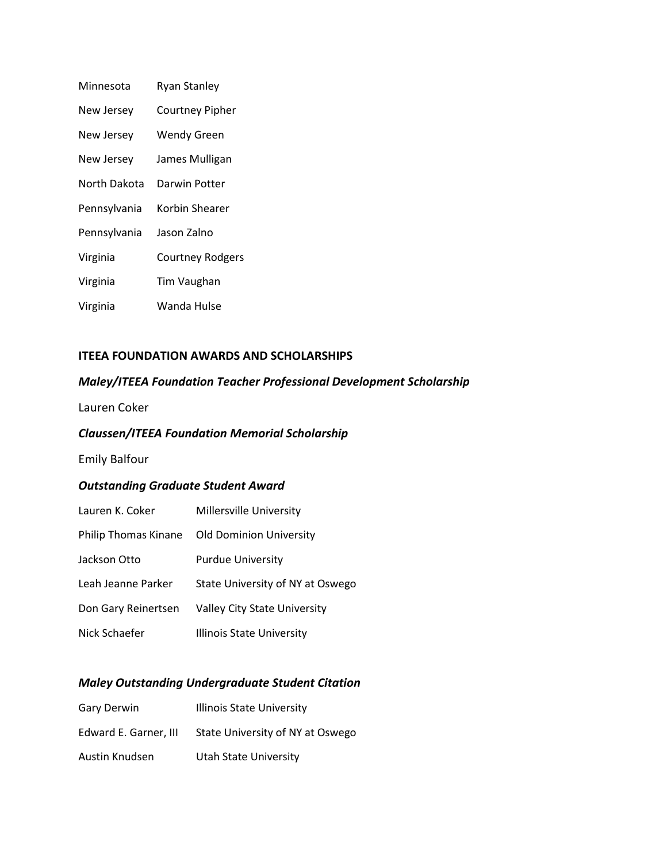| Minnesota    | <b>Ryan Stanley</b>     |
|--------------|-------------------------|
| New Jersey   | <b>Courtney Pipher</b>  |
| New Jersey   | <b>Wendy Green</b>      |
| New Jersey   | James Mulligan          |
| North Dakota | Darwin Potter           |
| Pennsylvania | Korbin Shearer          |
| Pennsylvania | Jason Zalno             |
| Virginia     | <b>Courtney Rodgers</b> |
| Virginia     | Tim Vaughan             |
| Virginia     | Wanda Hulse             |

# **ITEEA FOUNDATION AWARDS AND SCHOLARSHIPS**

# *Maley/ITEEA Foundation Teacher Professional Development Scholarship*

Lauren Coker

# *Claussen/ITEEA Foundation Memorial Scholarship*

# Emily Balfour

# *Outstanding Graduate Student Award*

| Lauren K. Coker      | Millersville University             |
|----------------------|-------------------------------------|
| Philip Thomas Kinane | <b>Old Dominion University</b>      |
| Jackson Otto         | <b>Purdue University</b>            |
| Leah Jeanne Parker   | State University of NY at Oswego    |
| Don Gary Reinertsen  | <b>Valley City State University</b> |
| Nick Schaefer        | Illinois State University           |

# *Maley Outstanding Undergraduate Student Citation*

| Gary Derwin           | <b>Illinois State University</b> |
|-----------------------|----------------------------------|
| Edward E. Garner, III | State University of NY at Oswego |
| Austin Knudsen        | Utah State University            |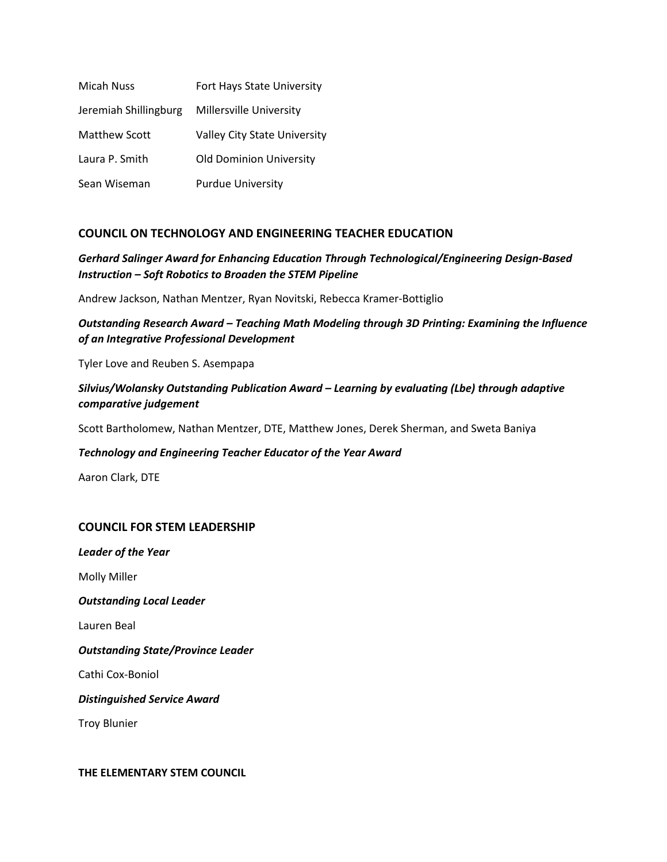| <b>Micah Nuss</b>     | Fort Hays State University          |
|-----------------------|-------------------------------------|
| Jeremiah Shillingburg | Millersville University             |
| Matthew Scott         | <b>Valley City State University</b> |
| Laura P. Smith        | <b>Old Dominion University</b>      |
| Sean Wiseman          | <b>Purdue University</b>            |

# **COUNCIL ON TECHNOLOGY AND ENGINEERING TEACHER EDUCATION**

# *Gerhard Salinger Award for Enhancing Education Through Technological/Engineering Design-Based Instruction – Soft Robotics to Broaden the STEM Pipeline*

Andrew Jackson, Nathan Mentzer, Ryan Novitski, Rebecca Kramer-Bottiglio

# *Outstanding Research Award – Teaching Math Modeling through 3D Printing: Examining the Influence of an Integrative Professional Development*

Tyler Love and Reuben S. Asempapa

# *Silvius/Wolansky Outstanding Publication Award – Learning by evaluating (Lbe) through adaptive comparative judgement*

Scott Bartholomew, Nathan Mentzer, DTE, Matthew Jones, Derek Sherman, and Sweta Baniya

## *Technology and Engineering Teacher Educator of the Year Award*

Aaron Clark, DTE

## **COUNCIL FOR STEM LEADERSHIP**

*Leader of the Year* Molly Miller *Outstanding Local Leader* Lauren Beal *Outstanding State/Province Leader* Cathi Cox-Boniol *Distinguished Service Award* Troy Blunier

#### **THE ELEMENTARY STEM COUNCIL**